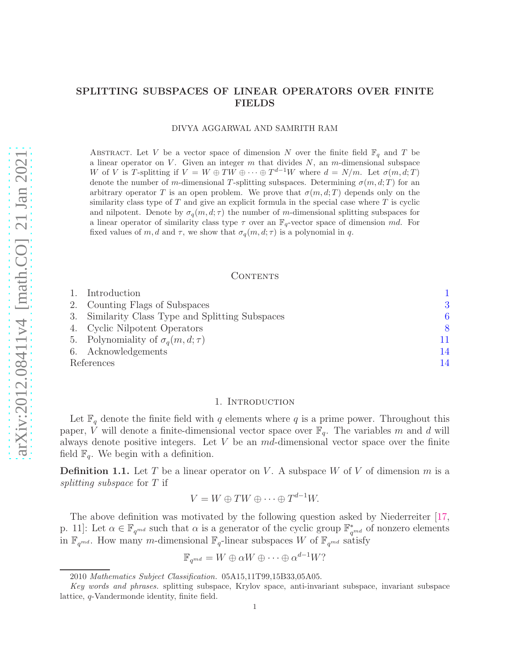# SPLITTING SUBSPACES OF LINEAR OPERATORS OVER FINITE FIELDS

#### DIVYA AGGARWAL AND SAMRITH RAM

ABSTRACT. Let V be a vector space of dimension N over the finite field  $\mathbb{F}_q$  and T be a linear operator on  $V$ . Given an integer  $m$  that divides  $N$ , an  $m$ -dimensional subspace W of V is T-splitting if  $V = W \oplus TW \oplus \cdots \oplus T^{d-1}W$  where  $d = N/m$ . Let  $\sigma(m, d; T)$ denote the number of m-dimensional T-splitting subspaces. Determining  $\sigma(m, d; T)$  for an arbitrary operator T is an open problem. We prove that  $\sigma(m, d; T)$  depends only on the similarity class type of  $T$  and give an explicit formula in the special case where  $T$  is cyclic and nilpotent. Denote by  $\sigma_q(m, d; \tau)$  the number of m-dimensional splitting subspaces for a linear operator of similarity class type  $\tau$  over an  $\mathbb{F}_q$ -vector space of dimension md. For fixed values of m, d and  $\tau$ , we show that  $\sigma_q(m, d; \tau)$  is a polynomial in q.

## CONTENTS

|            | Introduction                                     |               |  |  |
|------------|--------------------------------------------------|---------------|--|--|
|            | 2. Counting Flags of Subspaces                   | 3             |  |  |
|            | 3. Similarity Class Type and Splitting Subspaces |               |  |  |
|            | 4. Cyclic Nilpotent Operators                    | $\mathcal{R}$ |  |  |
|            | 5. Polynomiality of $\sigma_q(m, d; \tau)$       | 11            |  |  |
|            | 6. Acknowledgements                              | 14            |  |  |
| References |                                                  |               |  |  |

#### 1. INTRODUCTION

<span id="page-0-0"></span>Let  $\mathbb{F}_q$  denote the finite field with q elements where q is a prime power. Throughout this paper, V will denote a finite-dimensional vector space over  $\mathbb{F}_q$ . The variables m and d will always denote positive integers. Let  $V$  be an  $md$ -dimensional vector space over the finite field  $\mathbb{F}_q$ . We begin with a definition.

**Definition 1.1.** Let T be a linear operator on V. A subspace W of V of dimension m is a splitting subspace for T if

$$
V = W \oplus TW \oplus \cdots \oplus T^{d-1}W.
$$

The above definition was motivated by the following question asked by Niederreiter [\[17,](#page-13-2) p. 11]: Let  $\alpha \in \mathbb{F}_{q^{md}}$  such that  $\alpha$  is a generator of the cyclic group  $\mathbb{F}_{q^{md}}^*$  of nonzero elements in  $\mathbb{F}_{q^{md}}$ . How many m-dimensional  $\mathbb{F}_{q}$ -linear subspaces W of  $\mathbb{F}_{q^{md}}$  satisfy

$$
\mathbb{F}_{q^{md}} = W \oplus \alpha W \oplus \cdots \oplus \alpha^{d-1} W?
$$

<sup>2010</sup> Mathematics Subject Classification. 05A15,11T99,15B33,05A05.

Key words and phrases. splitting subspace, Krylov space, anti-invariant subspace, invariant subspace lattice, q-Vandermonde identity, finite field.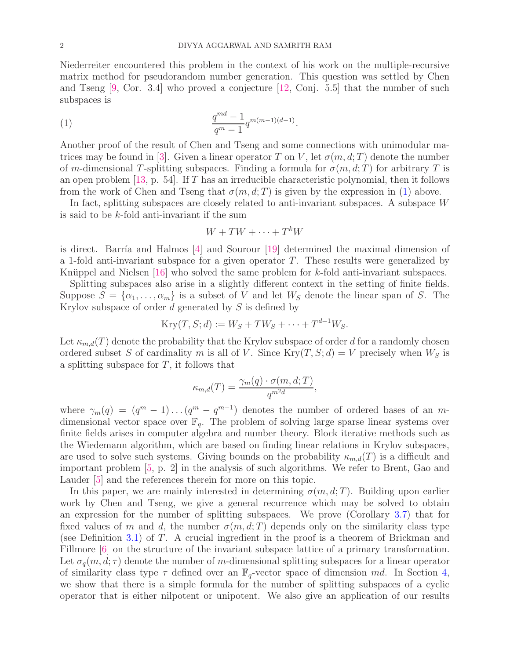Niederreiter encountered this problem in the context of his work on the multiple-recursive matrix method for pseudorandom number generation. This question was settled by Chen and Tseng  $[9, \text{Cor. } 3.4]$  who proved a conjecture  $[12, \text{Coni. } 5.5]$  that the number of such subspaces is

(1) 
$$
\frac{q^{md}-1}{q^m-1}q^{m(m-1)(d-1)}.
$$

Another proof of the result of Chen and Tseng and some connections with unimodular ma-trices may be found in [\[3\]](#page-13-5). Given a linear operator T on V, let  $\sigma(m, d; T)$  denote the number of m-dimensional T-splitting subspaces. Finding a formula for  $\sigma(m, d; T)$  for arbitrary T is an open problem  $[13, p. 54]$ . If T has an irreducible characteristic polynomial, then it follows from the work of Chen and Tseng that  $\sigma(m, d; T)$  is given by the expression in [\(1\)](#page-1-0) above.

In fact, splitting subspaces are closely related to anti-invariant subspaces. A subspace W is said to be k-fold anti-invariant if the sum

<span id="page-1-0"></span>
$$
W + TW + \dots + T^k W
$$

is direct. Barría and Halmos  $[4]$  and Sourour  $[19]$  determined the maximal dimension of a 1-fold anti-invariant subspace for a given operator T. These results were generalized by Knüppel and Nielsen  $[16]$  who solved the same problem for k-fold anti-invariant subspaces.

Splitting subspaces also arise in a slightly different context in the setting of finite fields. Suppose  $S = {\alpha_1, \ldots, \alpha_m}$  is a subset of V and let  $W_S$  denote the linear span of S. The Krylov subspace of order  $d$  generated by  $S$  is defined by

$$
Kry(T, S; d) := W_S + TW_S + \cdots + T^{d-1}W_S.
$$

Let  $\kappa_{m,d}(T)$  denote the probability that the Krylov subspace of order d for a randomly chosen ordered subset S of cardinality m is all of V. Since  $Kry(T, S; d) = V$  precisely when  $W_S$  is a splitting subspace for  $T$ , it follows that

$$
\kappa_{m,d}(T) = \frac{\gamma_m(q) \cdot \sigma(m,d;T)}{q^{m^2d}},
$$

where  $\gamma_m(q) = (q^m - 1) \dots (q^m - q^{m-1})$  denotes the number of ordered bases of an mdimensional vector space over  $\mathbb{F}_q$ . The problem of solving large sparse linear systems over finite fields arises in computer algebra and number theory. Block iterative methods such as the Wiedemann algorithm, which are based on finding linear relations in Krylov subspaces, are used to solve such systems. Giving bounds on the probability  $\kappa_{m,d}(T)$  is a difficult and important problem [\[5,](#page-13-10) p. 2] in the analysis of such algorithms. We refer to Brent, Gao and Lauder [\[5\]](#page-13-10) and the references therein for more on this topic.

In this paper, we are mainly interested in determining  $\sigma(m, d; T)$ . Building upon earlier work by Chen and Tseng, we give a general recurrence which may be solved to obtain an expression for the number of splitting subspaces. We prove (Corollary [3.7\)](#page-6-0) that for fixed values of m and d, the number  $\sigma(m, d; T)$  depends only on the similarity class type (see Definition [3.1\)](#page-5-1) of T. A crucial ingredient in the proof is a theorem of Brickman and Fillmore  $\lceil 6 \rceil$  on the structure of the invariant subspace lattice of a primary transformation. Let  $\sigma_q(m, d; \tau)$  denote the number of m-dimensional splitting subspaces for a linear operator of similarity class type  $\tau$  defined over an  $\mathbb{F}_q$ -vector space of dimension md. In Section [4,](#page-7-0) we show that there is a simple formula for the number of splitting subspaces of a cyclic operator that is either nilpotent or unipotent. We also give an application of our results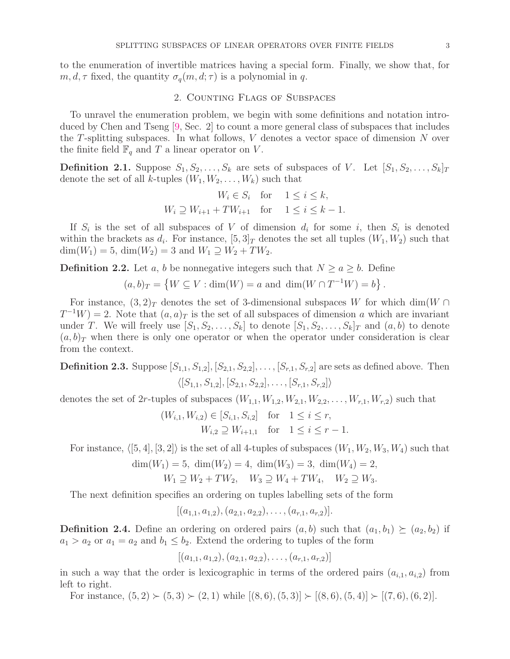<span id="page-2-0"></span>to the enumeration of invertible matrices having a special form. Finally, we show that, for  $m, d, \tau$  fixed, the quantity  $\sigma_q(m, d; \tau)$  is a polynomial in q.

## 2. Counting Flags of Subspaces

To unravel the enumeration problem, we begin with some definitions and notation introduced by Chen and Tseng [\[9,](#page-13-3) Sec. 2] to count a more general class of subspaces that includes the T-splitting subspaces. In what follows, V denotes a vector space of dimension N over the finite field  $\mathbb{F}_q$  and T a linear operator on V.

**Definition 2.1.** Suppose  $S_1, S_2, \ldots, S_k$  are sets of subspaces of V. Let  $[S_1, S_2, \ldots, S_k]_T$ denote the set of all k-tuples  $(W_1, W_2, \ldots, W_k)$  such that

$$
W_i \in S_i \quad \text{for} \quad 1 \le i \le k,
$$
  

$$
W_i \supseteq W_{i+1} + TW_{i+1} \quad \text{for} \quad 1 \le i \le k - 1.
$$

If  $S_i$  is the set of all subspaces of V of dimension  $d_i$  for some i, then  $S_i$  is denoted within the brackets as  $d_i$ . For instance,  $[5,3]_T$  denotes the set all tuples  $(W_1, W_2)$  such that  $\dim(W_1) = 5$ ,  $\dim(W_2) = 3$  and  $W_1 \supseteq W_2 + TW_2$ .

**Definition 2.2.** Let a, b be nonnegative integers such that  $N \ge a \ge b$ . Define

 $(a, b)_T = \{ W \subseteq V : \dim(W) = a \text{ and } \dim(W \cap T^{-1}W) = b \}.$ 

For instance,  $(3,2)_T$  denotes the set of 3-dimensional subspaces W for which dim(W ∩  $T^{-1}W = 2$ . Note that  $(a, a)_T$  is the set of all subspaces of dimension a which are invariant under T. We will freely use  $[S_1, S_2, \ldots, S_k]$  to denote  $[S_1, S_2, \ldots, S_k]_T$  and  $(a, b)$  to denote  $(a, b)_T$  when there is only one operator or when the operator under consideration is clear from the context.

**Definition 2.3.** Suppose  $[S_{1,1}, S_{1,2}], [S_{2,1}, S_{2,2}], \ldots, [S_{r,1}, S_{r,2}]$  are sets as defined above. Then  $\langle [S_{1,1}, S_{1,2}], [S_{2,1}, S_{2,2}], \ldots, [S_{r,1}, S_{r,2}]\rangle$ 

denotes the set of 2r-tuples of subspaces  $(W_{1,1}, W_{1,2}, W_{2,1}, W_{2,2}, \ldots, W_{r,1}, W_{r,2})$  such that

$$
(W_{i,1}, W_{i,2}) \in [S_{i,1}, S_{i,2}]
$$
 for  $1 \le i \le r$ ,  
 $W_{i,2} \supseteq W_{i+1,1}$  for  $1 \le i \le r-1$ .

For instance,  $\langle [5, 4], [3, 2] \rangle$  is the set of all 4-tuples of subspaces  $(W_1, W_2, W_3, W_4)$  such that

$$
\dim(W_1) = 5, \ \dim(W_2) = 4, \ \dim(W_3) = 3, \ \dim(W_4) = 2, W_1 \supseteq W_2 + TW_2, \quad W_3 \supseteq W_4 + TW_4, \quad W_2 \supseteq W_3.
$$

The next definition specifies an ordering on tuples labelling sets of the form

$$
[(a_{1,1},a_{1,2}), (a_{2,1},a_{2,2}), \ldots, (a_{r,1},a_{r,2})].
$$

**Definition 2.4.** Define an ordering on ordered pairs  $(a, b)$  such that  $(a_1, b_1) \succeq (a_2, b_2)$  if  $a_1 > a_2$  or  $a_1 = a_2$  and  $b_1 \leq b_2$ . Extend the ordering to tuples of the form

 $[(a_{1,1}, a_{1,2}), (a_{2,1}, a_{2,2}), \ldots, (a_{r,1}, a_{r,2})]$ 

in such a way that the order is lexicographic in terms of the ordered pairs  $(a_{i,1}, a_{i,2})$  from left to right.

For instance,  $(5, 2) \succ (5, 3) \succ (2, 1)$  while  $[(8, 6), (5, 3)] \succ [(8, 6), (5, 4)] \succ [(7, 6), (6, 2)]$ .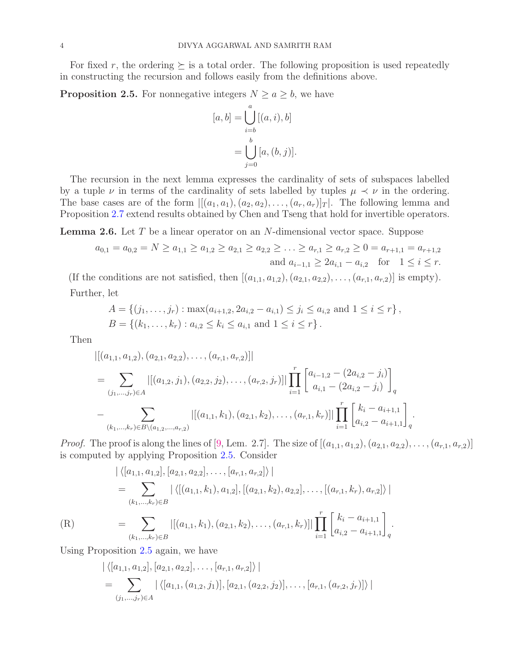For fixed r, the ordering  $\succeq$  is a total order. The following proposition is used repeatedly in constructing the recursion and follows easily from the definitions above.

<span id="page-3-0"></span>**Proposition 2.5.** For nonnegative integers  $N \ge a \ge b$ , we have

$$
[a, b] = \bigcup_{i=b}^{a} [(a, i), b]
$$

$$
= \bigcup_{j=0}^{b} [a, (b, j)].
$$

The recursion in the next lemma expresses the cardinality of sets of subspaces labelled by a tuple  $\nu$  in terms of the cardinality of sets labelled by tuples  $\mu \prec \nu$  in the ordering. The base cases are of the form  $\left|\left[(a_1, a_1), (a_2, a_2), \ldots, (a_r, a_r)\right]_T\right|$ . The following lemma and Proposition [2.7](#page-4-0) extend results obtained by Chen and Tseng that hold for invertible operators.

<span id="page-3-2"></span>**Lemma 2.6.** Let  $T$  be a linear operator on an  $N$ -dimensional vector space. Suppose

$$
a_{0,1} = a_{0,2} = N \ge a_{1,1} \ge a_{1,2} \ge a_{2,1} \ge a_{2,2} \ge \ldots \ge a_{r,1} \ge a_{r,2} \ge 0 = a_{r+1,1} = a_{r+1,2}
$$
  
and  $a_{i-1,1} \ge 2a_{i,1} - a_{i,2}$  for  $1 \le i \le r$ .

(If the conditions are not satisfied, then  $[(a_{1,1}, a_{1,2}), (a_{2,1}, a_{2,2}), \ldots, (a_{r,1}, a_{r,2})]$  is empty). Further, let

$$
A = \{(j_1, \ldots, j_r) : \max(a_{i+1,2}, 2a_{i,2} - a_{i,1}) \le j_i \le a_{i,2} \text{ and } 1 \le i \le r\},
$$
  

$$
B = \{(k_1, \ldots, k_r) : a_{i,2} \le k_i \le a_{i,1} \text{ and } 1 \le i \le r\}.
$$

Then

$$
\begin{split}\n&\left| \left[ (a_{1,1}, a_{1,2}), (a_{2,1}, a_{2,2}), \dots, (a_{r,1}, a_{r,2}) \right] \right| \\
&= \sum_{(j_1, \dots, j_r) \in A} \left| \left[ (a_{1,2}, j_1), (a_{2,2}, j_2), \dots, (a_{r,2}, j_r) \right] \right| \prod_{i=1}^r \left[ a_{i-1,2} - (2a_{i,2} - j_i) \right]_q \\
&- \sum_{(k_1, \dots, k_r) \in B \setminus (a_{1,2}, \dots, a_{r,2})} \left| \left[ (a_{1,1}, k_1), (a_{2,1}, k_2), \dots, (a_{r,1}, k_r) \right] \right| \prod_{i=1}^r \left[ \begin{matrix} k_i - a_{i+1,1} \\ a_{i,2} - a_{i+1,1} \end{matrix} \right]_q.\n\end{split}
$$

*Proof.* The proof is along the lines of [\[9,](#page-13-3) Lem. 2.7]. The size of  $[(a_{1,1}, a_{1,2}), (a_{2,1}, a_{2,2}), \ldots, (a_{r,1}, a_{r,2})]$ is computed by applying Proposition [2.5.](#page-3-0) Consider

 $i=1$ 

 $a_{i,2} - a_{i+1,1}$ 

q

$$
\begin{aligned}\n|\langle [a_{1,1}, a_{1,2}], [a_{2,1}, a_{2,2}], \dots, [a_{r,1}, a_{r,2}] \rangle \rangle \\
= \sum_{(k_1, \dots, k_r) \in B} |\langle [(a_{1,1}, k_1), a_{1,2}], [(a_{2,1}, k_2), a_{2,2}], \dots, [(a_{r,1}, k_r), a_{r,2}] \rangle \rangle \\
= \sum_{(k_1, \dots, k_r) \in B} |[(a_{1,1}, k_1), (a_{2,1}, k_2), \dots, (a_{r,1}, k_r)]| \prod_{r}^{r} \left[ \sum_{k_1}^{k_1 - a_{i+1,1}} \right].\n\end{aligned}
$$

<span id="page-3-1"></span>

Using Proposition [2.5](#page-3-0) again, we have

 $(k_1,...,k_r) \in B$ 

$$
\begin{aligned} & \left| \langle [a_{1,1}, a_{1,2}], [a_{2,1}, a_{2,2}], \dots, [a_{r,1}, a_{r,2}] \rangle \right| \\ &= \sum_{(j_1, \dots, j_r) \in A} \left| \langle [a_{1,1}, (a_{1,2}, j_1)], [a_{2,1}, (a_{2,2}, j_2)], \dots, [a_{r,1}, (a_{r,2}, j_r)] \rangle \right| \end{aligned}
$$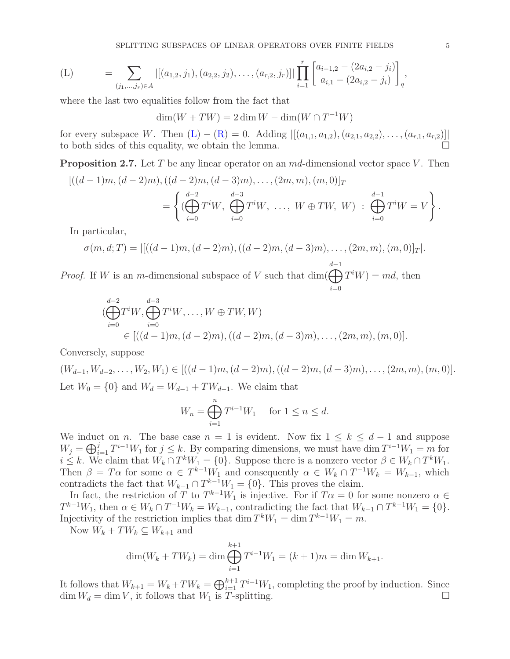<span id="page-4-1"></span>
$$
\text{(L)} \quad = \sum_{(j_1,\ldots,j_r)\in A} |[(a_{1,2},j_1),(a_{2,2},j_2),\ldots,(a_{r,2},j_r)]| \prod_{i=1}^r \begin{bmatrix} a_{i-1,2}-(2a_{i,2}-j_i) \\ a_{i,1}-(2a_{i,2}-j_i) \end{bmatrix}_q,
$$

where the last two equalities follow from the fact that

 $\dim(W + TW) = 2 \dim W - \dim(W \cap T^{-1}W)$ 

for every subspace W. Then  $(L) - (R) = 0$  $(L) - (R) = 0$  $(L) - (R) = 0$ . Adding  $|[(a_{1,1}, a_{1,2}), (a_{2,1}, a_{2,2}), \ldots, (a_{r,1}, a_{r,2})]|$ to both sides of this equality, we obtain the lemma.

<span id="page-4-0"></span>**Proposition 2.7.** Let T be any linear operator on an  $md$ -dimensional vector space V. Then

$$
[((d-1)m, (d-2)m), ((d-2)m, (d-3)m), \dots, (2m, m), (m, 0)]_T
$$
  
= 
$$
\left\{ (\bigoplus_{i=0}^{d-2} T^i W, \bigoplus_{i=0}^{d-3} T^i W, \dots, W \oplus TW, W) : \bigoplus_{i=0}^{d-1} T^i W = V \right\}.
$$

In particular,

$$
\sigma(m, d; T) = | [((d-1)m, (d-2)m), ((d-2)m, (d-3)m), \dots, (2m, m), (m, 0)]_T |.
$$
  
<sub>d-1</sub>

*Proof.* If W is an m-dimensional subspace of V such that  $\dim(\bigoplus T^iW) = md$ , then  $i=0$ 

$$
\begin{aligned}\n &\left(\bigoplus_{i=0}^{d-2} T^i W, \bigoplus_{i=0}^{d-3} T^i W, \dots, W \oplus TW, W\right) \\
 &\in [((d-1)m, (d-2)m), ((d-2)m, (d-3)m), \dots, (2m, m), (m, 0)].\n \end{aligned}
$$

Conversely, suppose

 $(W_{d-1}, W_{d-2}, \ldots, W_2, W_1) \in [((d-1)m, (d-2)m), ((d-2)m, (d-3)m), \ldots, (2m, m), (m, 0)].$ Let  $W_0 = \{0\}$  and  $W_d = W_{d-1} + TW_{d-1}$ . We claim that

$$
W_n = \bigoplus_{i=1}^n T^{i-1} W_1 \quad \text{ for } 1 \le n \le d.
$$

We induct on *n*. The base case  $n = 1$  is evident. Now fix  $1 \leq k \leq d-1$  and suppose  $W_j = \bigoplus_{i=1}^j T^{i-1} W_1$  for  $j \leq k$ . By comparing dimensions, we must have dim  $T^{i-1} W_1 = m$  for  $i \leq k$ . We claim that  $W_k \cap T^k W_1 = \{0\}$ . Suppose there is a nonzero vector  $\beta \in W_k \cap T^k W_1$ . Then  $\beta = T\alpha$  for some  $\alpha \in T^{k-1}W_1$  and consequently  $\alpha \in W_k \cap T^{-1}W_k = W_{k-1}$ , which contradicts the fact that  $W_{k-1} \cap T^{k-1}W_1 = \{0\}$ . This proves the claim.

In fact, the restriction of T to  $T^{k-1}W_1$  is injective. For if  $T\alpha = 0$  for some nonzero  $\alpha \in$  $T^{k-1}W_1$ , then  $\alpha \in W_k \cap T^{-1}W_k = W_{k-1}$ , contradicting the fact that  $W_{k-1} \cap T^{k-1}W_1 = \{0\}.$ Injectivity of the restriction implies that dim  $T^kW_1 = \dim T^{k-1}W_1 = m$ .

Now  $W_k + TW_k \subseteq W_{k+1}$  and

$$
\dim(W_k + TW_k) = \dim \bigoplus_{i=1}^{k+1} T^{i-1}W_1 = (k+1)m = \dim W_{k+1}.
$$

It follows that  $W_{k+1} = W_k + TW_k = \bigoplus_{i=1}^{k+1} T^{i-1}W_1$ , completing the proof by induction. Since  $\dim W_d = \dim V$ , it follows that  $W_1$  is T-splitting.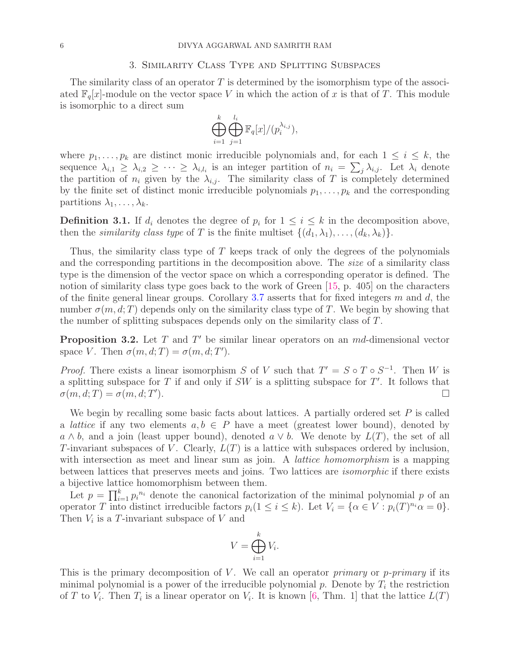# 3. Similarity Class Type and Splitting Subspaces

<span id="page-5-0"></span>The similarity class of an operator  $T$  is determined by the isomorphism type of the associated  $\mathbb{F}_q[x]$ -module on the vector space V in which the action of x is that of T. This module is isomorphic to a direct sum

$$
\bigoplus_{i=1}^k \bigoplus_{j=1}^{l_i} \mathbb{F}_q[x]/(p_i^{\lambda_{i,j}}),
$$

where  $p_1, \ldots, p_k$  are distinct monic irreducible polynomials and, for each  $1 \leq i \leq k$ , the sequence  $\lambda_{i,1} \geq \lambda_{i,2} \geq \cdots \geq \lambda_{i,l_i}$  is an integer partition of  $n_i = \sum_j \lambda_{i,j}$ . Let  $\lambda_i$  denote the partition of  $n_i$  given by the  $\lambda_{i,j}$ . The similarity class of T is completely determined by the finite set of distinct monic irreducible polynomials  $p_1, \ldots, p_k$  and the corresponding partitions  $\lambda_1, \ldots, \lambda_k$ .

<span id="page-5-1"></span>**Definition 3.1.** If  $d_i$  denotes the degree of  $p_i$  for  $1 \leq i \leq k$  in the decomposition above, then the *similarity class type* of T is the finite multiset  $\{(d_1, \lambda_1), \ldots, (d_k, \lambda_k)\}.$ 

Thus, the similarity class type of  $T$  keeps track of only the degrees of the polynomials and the corresponding partitions in the decomposition above. The *size* of a similarity class type is the dimension of the vector space on which a corresponding operator is defined. The notion of similarity class type goes back to the work of Green [\[15,](#page-13-12) p. 405] on the characters of the finite general linear groups. Corollary [3.7](#page-6-0) asserts that for fixed integers m and d, the number  $\sigma(m, d; T)$  depends only on the similarity class type of T. We begin by showing that the number of splitting subspaces depends only on the similarity class of T.

**Proposition 3.2.** Let  $T$  and  $T'$  be similar linear operators on an  $md$ -dimensional vector space V. Then  $\sigma(m, d; T) = \sigma(m, d; T')$ .

*Proof.* There exists a linear isomorphism S of V such that  $T' = S \circ T \circ S^{-1}$ . Then W is a splitting subspace for  $T$  if and only if  $SW$  is a splitting subspace for  $T'$ . It follows that  $\sigma(m, d; T) = \sigma(m, d; T)$ ).  $\Box$ 

We begin by recalling some basic facts about lattices. A partially ordered set  $P$  is called a *lattice* if any two elements  $a, b \in P$  have a meet (greatest lower bound), denoted by  $a \wedge b$ , and a join (least upper bound), denoted  $a \vee b$ . We denote by  $L(T)$ , the set of all T-invariant subspaces of V. Clearly,  $L(T)$  is a lattice with subspaces ordered by inclusion, with intersection as meet and linear sum as join. A *lattice homomorphism* is a mapping between lattices that preserves meets and joins. Two lattices are isomorphic if there exists a bijective lattice homomorphism between them.

Let  $p = \prod_{i=1}^{k} p_i^{n_i}$  denote the canonical factorization of the minimal polynomial p of an operator T into distinct irreducible factors  $p_i(1 \leq i \leq k)$ . Let  $V_i = \{ \alpha \in V : p_i(T)^{n_i} \alpha = 0 \}.$ Then  $V_i$  is a T-invariant subspace of V and

$$
V = \bigoplus_{i=1}^{k} V_i.
$$

This is the primary decomposition of V. We call an operator *primary* or *p-primary* if its minimal polynomial is a power of the irreducible polynomial  $p$ . Denote by  $T_i$  the restriction of T to  $V_i$ . Then  $T_i$  is a linear operator on  $V_i$ . It is known [\[6,](#page-13-11) Thm. 1] that the lattice  $L(T)$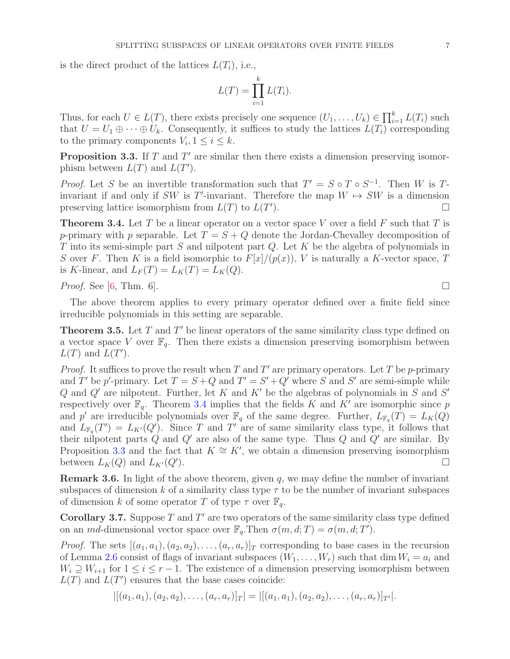is the direct product of the lattices  $L(T_i)$ , i.e.,

$$
L(T) = \prod_{i=1}^{k} L(T_i).
$$

Thus, for each  $U \in L(T)$ , there exists precisely one sequence  $(U_1, \ldots, U_k) \in \prod_{i=1}^k L(T_i)$  such that  $U = U_1 \oplus \cdots \oplus U_k$ . Consequently, it suffices to study the lattices  $L(T_i)$  corresponding to the primary components  $V_i, 1 \leq i \leq k$ .

<span id="page-6-2"></span>**Proposition 3.3.** If  $T$  and  $T'$  are similar then there exists a dimension preserving isomorphism between  $L(T)$  and  $L(T')$ .

*Proof.* Let S be an invertible transformation such that  $T' = S \circ T \circ S^{-1}$ . Then W is Tinvariant if and only if SW is T'-invariant. Therefore the map  $W \mapsto SW$  is a dimension preserving lattice isomorphism from  $L(T)$  to  $L(T)$  $\Box$ 

<span id="page-6-1"></span>**Theorem 3.4.** Let T be a linear operator on a vector space V over a field F such that T is p-primary with p separable. Let  $T = S + Q$  denote the Jordan-Chevalley decomposition of T into its semi-simple part  $S$  and nilpotent part  $Q$ . Let  $K$  be the algebra of polynomials in S over F. Then K is a field isomorphic to  $F[x]/(p(x))$ , V is naturally a K-vector space, T is K-linear, and  $L_F(T) = L_K(T) = L_K(Q)$ .

*Proof.* See [\[6,](#page-13-11) Thm. 6].

The above theorem applies to every primary operator defined over a finite field since irreducible polynomials in this setting are separable.

**Theorem 3.5.** Let  $T$  and  $T'$  be linear operators of the same similarity class type defined on a vector space V over  $\mathbb{F}_q$ . Then there exists a dimension preserving isomorphism between  $L(T)$  and  $L(T')$ .

*Proof.* It suffices to prove the result when T and T' are primary operators. Let T be p-primary and T' be p'-primary. Let  $T = S + Q$  and  $T' = S' + Q'$  where S and S' are semi-simple while Q and  $Q'$  are nilpotent. Further, let K and K' be the algebras of polynomials in S and S' respectively over  $\mathbb{F}_q$ . Theorem [3.4](#page-6-1) implies that the fields K and K' are isomorphic since p and p' are irreducible polynomials over  $\mathbb{F}_q$  of the same degree. Further,  $L_{\mathbb{F}_q}(T) = L_K(Q)$ and  $L_{\mathbb{F}_q}(T') = L_{K'}(Q')$ . Since T and T' are of same similarity class type, it follows that their nilpotent parts  $Q$  and  $Q'$  are also of the same type. Thus  $Q$  and  $Q'$  are similar. By Proposition [3.3](#page-6-2) and the fact that  $K \cong K'$ , we obtain a dimension preserving isomorphism between  $L_K(Q)$  and  $L_{K'}(Q')$ . ).  $\Box$ 

**Remark 3.6.** In light of the above theorem, given q, we may define the number of invariant subspaces of dimension k of a similarity class type  $\tau$  to be the number of invariant subspaces of dimension k of some operator T of type  $\tau$  over  $\mathbb{F}_q$ .

<span id="page-6-0"></span>**Corollary 3.7.** Suppose  $T$  and  $T'$  are two operators of the same similarity class type defined on an md-dimensional vector space over  $\mathbb{F}_q$ . Then  $\sigma(m, d; T) = \sigma(m, d; T')$ .

*Proof.* The sets  $[(a_1, a_1), (a_2, a_2), \ldots, (a_r, a_r)]_T$  corresponding to base cases in the recursion of Lemma [2.6](#page-3-2) consist of flags of invariant subspaces  $(W_1, \ldots, W_r)$  such that dim  $W_i = a_i$  and  $W_i \supseteq W_{i+1}$  for  $1 \leq i \leq r-1$ . The existence of a dimension preserving isomorphism between  $L(T)$  and  $L(T')$  ensures that the base cases coincide:

 $|[(a_1, a_1), (a_2, a_2), \ldots, (a_r, a_r)]_T| = |[(a_1, a_1), (a_2, a_2), \ldots, (a_r, a_r)]_{T'}|.$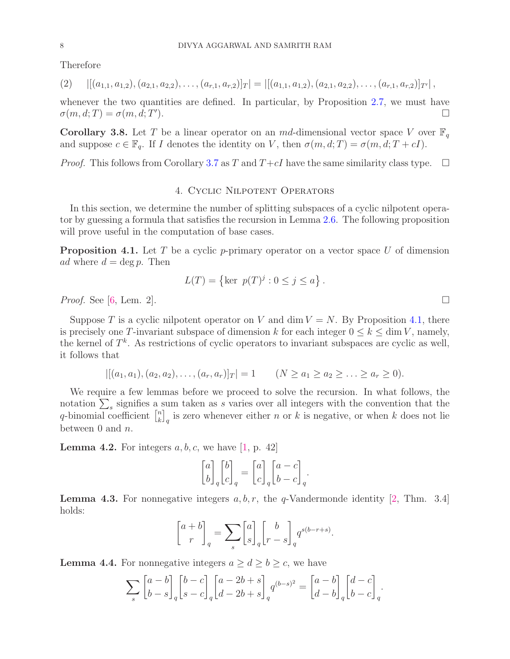Therefore

<span id="page-7-5"></span>
$$
(2) \quad |[(a_{1,1},a_{1,2}), (a_{2,1},a_{2,2}), \ldots, (a_{r,1},a_{r,2})]_T| = |[(a_{1,1},a_{1,2}), (a_{2,1},a_{2,2}), \ldots, (a_{r,1},a_{r,2})]_{T'}|,
$$

whenever the two quantities are defined. In particular, by Proposition [2.7,](#page-4-0) we must have  $\sigma(m, d; T) = \sigma(m, d; T)$ ).  $\Box$ 

<span id="page-7-4"></span>Corollary 3.8. Let T be a linear operator on an md-dimensional vector space V over  $\mathbb{F}_q$ and suppose  $c \in \mathbb{F}_q$ . If I denotes the identity on V, then  $\sigma(m, d; T) = \sigma(m, d; T + cI)$ .

<span id="page-7-0"></span>*Proof.* This follows from Corollary [3.7](#page-6-0) as T and  $T+cI$  have the same similarity class type.  $\Box$ 

## 4. Cyclic Nilpotent Operators

In this section, we determine the number of splitting subspaces of a cyclic nilpotent operator by guessing a formula that satisfies the recursion in Lemma [2.6.](#page-3-2) The following proposition will prove useful in the computation of base cases.

<span id="page-7-1"></span>**Proposition 4.1.** Let T be a cyclic p-primary operator on a vector space U of dimension ad where  $d = \deg p$ . Then

$$
L(T) = \{ \text{ker } p(T)^j : 0 \le j \le a \}.
$$

*Proof.* See [\[6,](#page-13-11) Lem. 2].

Suppose T is a cyclic nilpotent operator on V and dim  $V = N$ . By Proposition [4.1,](#page-7-1) there is precisely one T-invariant subspace of dimension k for each integer  $0 \le k \le \dim V$ , namely, the kernel of  $T^k$ . As restrictions of cyclic operators to invariant subspaces are cyclic as well, it follows that

$$
|[(a_1, a_1), (a_2, a_2), \dots, (a_r, a_r)]_T| = 1 \qquad (N \ge a_1 \ge a_2 \ge \dots \ge a_r \ge 0).
$$

We require a few lemmas before we proceed to solve the recursion. In what follows, the notation  $\sum_{s}$  signifies a sum taken as s varies over all integers with the convention that the q-binomial coefficient  $\begin{bmatrix} n \\ k \end{bmatrix}$  $\binom{n}{k}_q$  is zero whenever either n or k is negative, or when k does not lie between 0 and  $n$ .

<span id="page-7-2"></span>**Lemma 4.2.** For integers  $a, b, c$ , we have [\[1,](#page-13-13) p. 42]

$$
\begin{bmatrix} a \\ b \end{bmatrix}_q \begin{bmatrix} b \\ c \end{bmatrix}_q = \begin{bmatrix} a \\ c \end{bmatrix}_q \begin{bmatrix} a-c \\ b-c \end{bmatrix}_q.
$$

**Lemma 4.3.** For nonnegative integers  $a, b, r$ , the q-Vandermonde identity [\[2,](#page-13-14) Thm. 3.4] holds:

$$
\begin{bmatrix} a+b \\ r \end{bmatrix}_q = \sum_s \begin{bmatrix} a \\ s \end{bmatrix}_q \begin{bmatrix} b \\ r-s \end{bmatrix}_q q^{s(b-r+s)}.
$$

<span id="page-7-3"></span>**Lemma 4.4.** For nonnegative integers  $a \geq d \geq b \geq c$ , we have

$$
\sum_{s} \begin{bmatrix} a-b \\ b-s \end{bmatrix}_{q} \begin{bmatrix} b-c \\ s-c \end{bmatrix}_{q} \begin{bmatrix} a-2b+s \\ d-2b+s \end{bmatrix}_{q} q^{(b-s)^{2}} = \begin{bmatrix} a-b \\ d-b \end{bmatrix}_{q} \begin{bmatrix} d-c \\ b-c \end{bmatrix}_{q}.
$$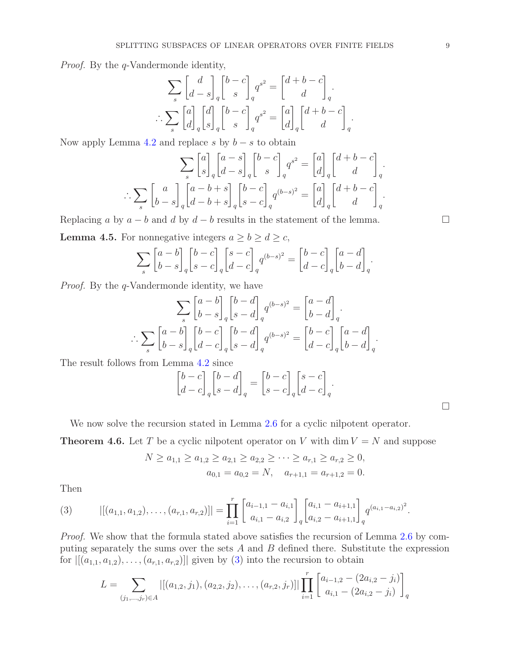Proof. By the q-Vandermonde identity,

$$
\sum_{s} \begin{bmatrix} d \\ d-s \end{bmatrix}_{q} \begin{bmatrix} b-c \\ s \end{bmatrix}_{q} q^{s^{2}} = \begin{bmatrix} d+b-c \\ d \end{bmatrix}_{q}.
$$

$$
\therefore \sum_{s} \begin{bmatrix} a \\ d \end{bmatrix}_{q} \begin{bmatrix} d \\ s \end{bmatrix}_{q} \begin{bmatrix} b-c \\ s \end{bmatrix}_{q} q^{s^{2}} = \begin{bmatrix} a \\ d \end{bmatrix}_{q} \begin{bmatrix} d+b-c \\ d \end{bmatrix}_{q}.
$$

Now apply Lemma [4.2](#page-7-2) and replace s by  $b - s$  to obtain

$$
\sum_{s} \begin{bmatrix} a \\ s \end{bmatrix}_{q} \begin{bmatrix} a-s \\ d-s \end{bmatrix}_{q} \begin{bmatrix} b-c \\ s \end{bmatrix}_{q} q^{s^{2}} = \begin{bmatrix} a \\ d \end{bmatrix}_{q} \begin{bmatrix} d+b-c \\ d \end{bmatrix}_{q}.
$$

$$
\therefore \sum_{s} \begin{bmatrix} a \\ b-s \end{bmatrix}_{q} \begin{bmatrix} a-b+s \\ d-b+s \end{bmatrix}_{q} \begin{bmatrix} b-c \\ s-c \end{bmatrix}_{q} q^{(b-s)^{2}} = \begin{bmatrix} a \\ d \end{bmatrix}_{q} \begin{bmatrix} d+b-c \\ d \end{bmatrix}_{q}.
$$

Replacing a by  $a - b$  and d by  $d - b$  results in the statement of the lemma.

<span id="page-8-1"></span>**Lemma 4.5.** For nonnegative integers  $a \ge b \ge d \ge c$ ,

$$
\sum_{s} \begin{bmatrix} a-b \\ b-s \end{bmatrix}_{q} \begin{bmatrix} b-c \\ s-c \end{bmatrix}_{q} \begin{bmatrix} s-c \\ d-c \end{bmatrix}_{q} q^{(b-s)^{2}} = \begin{bmatrix} b-c \\ d-c \end{bmatrix}_{q} \begin{bmatrix} a-d \\ b-d \end{bmatrix}_{q}.
$$

Proof. By the q-Vandermonde identity, we have

$$
\sum_{s} \begin{bmatrix} a-b \\ b-s \end{bmatrix}_{q} \begin{bmatrix} b-d \\ s-d \end{bmatrix}_{q} q^{(b-s)^{2}} = \begin{bmatrix} a-d \\ b-d \end{bmatrix}_{q}.
$$

$$
\therefore \sum_{s} \begin{bmatrix} a-b \\ b-s \end{bmatrix}_{q} \begin{bmatrix} b-c \\ d-c \end{bmatrix}_{q} \begin{bmatrix} b-d \\ s-d \end{bmatrix}_{q} q^{(b-s)^{2}} = \begin{bmatrix} b-c \\ d-c \end{bmatrix}_{q} \begin{bmatrix} a-d \\ b-d \end{bmatrix}_{q}.
$$

The result follows from Lemma [4.2](#page-7-2) since

$$
\begin{bmatrix} b-c \\ d-c \end{bmatrix}_q \begin{bmatrix} b-d \\ s-d \end{bmatrix}_q = \begin{bmatrix} b-c \\ s-c \end{bmatrix}_q \begin{bmatrix} s-c \\ d-c \end{bmatrix}_q.
$$

We now solve the recursion stated in Lemma [2.6](#page-3-2) for a cyclic nilpotent operator.

<span id="page-8-2"></span>**Theorem 4.6.** Let T be a cyclic nilpotent operator on V with dim  $V = N$  and suppose

$$
N \ge a_{1,1} \ge a_{1,2} \ge a_{2,1} \ge a_{2,2} \ge \cdots \ge a_{r,1} \ge a_{r,2} \ge 0,
$$
  

$$
a_{0,1} = a_{0,2} = N, \quad a_{r+1,1} = a_{r+1,2} = 0.
$$

Then

<span id="page-8-0"></span>(3) 
$$
|[(a_{1,1}, a_{1,2}), \ldots, (a_{r,1}, a_{r,2})]| = \prod_{i=1}^r \begin{bmatrix} a_{i-1,1} - a_{i,1} \ a_{i,1} - a_{i,2} \end{bmatrix}_q \begin{bmatrix} a_{i,1} - a_{i+1,1} \ a_{i,2} - a_{i+1,1} \end{bmatrix}_q q^{(a_{i,1} - a_{i,2})^2}.
$$

Proof. We show that the formula stated above satisfies the recursion of Lemma [2.6](#page-3-2) by computing separately the sums over the sets  $A$  and  $B$  defined there. Substitute the expression for  $|[(a_{1,1}, a_{1,2}), \ldots, (a_{r,1}, a_{r,2})]|$  given by [\(3\)](#page-8-0) into the recursion to obtain

$$
L = \sum_{(j_1,\ldots,j_r)\in A} |[(a_{1,2},j_1), (a_{2,2},j_2), \ldots, (a_{r,2},j_r)]| \prod_{i=1}^r \begin{bmatrix} a_{i-1,2} - (2a_{i,2} - j_i) \\ a_{i,1} - (2a_{i,2} - j_i) \end{bmatrix}_q
$$

 $\Box$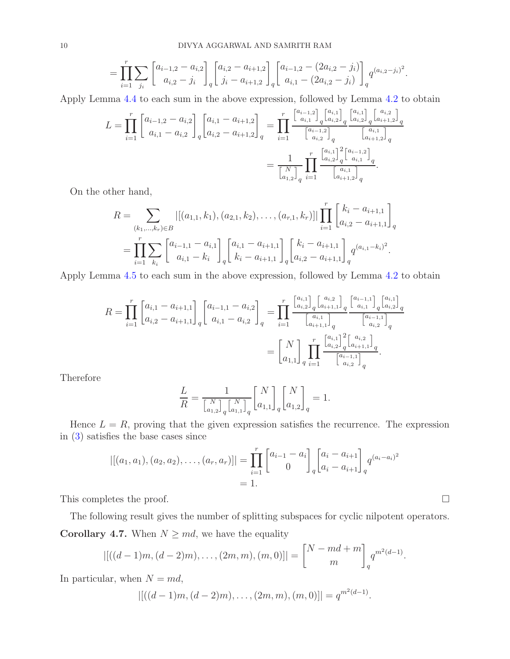$$
= \prod_{i=1}^r \sum_{j_i} \begin{bmatrix} a_{i-1,2} - a_{i,2} \ a_{i,2} - j_i \end{bmatrix}_q \begin{bmatrix} a_{i,2} - a_{i+1,2} \ j_i - a_{i+1,2} \end{bmatrix}_q \begin{bmatrix} a_{i-1,2} - (2a_{i,2} - j_i) \ a_{i,1} - (2a_{i,2} - j_i) \end{bmatrix}_q q^{(a_{i,2} - j_i)^2}.
$$

Apply Lemma [4.4](#page-7-3) to each sum in the above expression, followed by Lemma [4.2](#page-7-2) to obtain

$$
L = \prod_{i=1}^{r} \begin{bmatrix} a_{i-1,2} - a_{i,2} \ a_{i,1} - a_{i,2} \end{bmatrix}_{q} \begin{bmatrix} a_{i,1} - a_{i+1,2} \ a_{i,2} - a_{i+1,2} \end{bmatrix}_{q} = \prod_{i=1}^{r} \frac{\begin{bmatrix} a_{i-1,2} \ a_{i,1} \end{bmatrix}_{q} \begin{bmatrix} a_{i,1} \ a_{i,2} \end{bmatrix}_{q} \begin{bmatrix} a_{i,1} \ a_{i+1,2} \end{bmatrix}_{q}}{\begin{bmatrix} a_{i-1,2} \ a_{i,2} \end{bmatrix}_{q} \begin{bmatrix} a_{i,1} \ a_{i+1,2} \end{bmatrix}_{q}}
$$

$$
= \frac{1}{\begin{bmatrix} N \ a_{i,2} \end{bmatrix}_{q} \prod_{i=1}^{r} \begin{bmatrix} a_{i,1} \ a_{i,2} \end{bmatrix}_{q} \begin{bmatrix} a_{i-1,2} \ a_{i,1} \end{bmatrix}_{q}}{\begin{bmatrix} a_{i,1} \ a_{i+1,2} \end{bmatrix}_{q}}.
$$

On the other hand,

$$
R = \sum_{(k_1,\ldots,k_r)\in B} |[(a_{1,1},k_1),(a_{2,1},k_2),\ldots,(a_{r,1},k_r)]| \prod_{i=1}^r \begin{bmatrix} k_i - a_{i+1,1} \\ a_{i,2} - a_{i+1,1} \end{bmatrix}_q
$$
  
= 
$$
\prod_{i=1}^r \sum_{k_i} \begin{bmatrix} a_{i-1,1} - a_{i,1} \\ a_{i,1} - k_i \end{bmatrix}_q \begin{bmatrix} a_{i,1} - a_{i+1,1} \\ k_i - a_{i+1,1} \end{bmatrix}_q \begin{bmatrix} k_i - a_{i+1,1} \\ a_{i,2} - a_{i+1,1} \end{bmatrix}_q q^{(a_{i,1} - k_i)^2}.
$$

Apply Lemma [4.5](#page-8-1) to each sum in the above expression, followed by Lemma [4.2](#page-7-2) to obtain

$$
R = \prod_{i=1}^{r} \begin{bmatrix} a_{i,1} - a_{i+1,1} \\ a_{i,2} - a_{i+1,1} \end{bmatrix}_{q} \begin{bmatrix} a_{i-1,1} - a_{i,2} \\ a_{i,1} - a_{i,2} \end{bmatrix}_{q} = \prod_{i=1}^{r} \frac{\begin{bmatrix} a_{i,1} \\ a_{i,2} \end{bmatrix}_{q} \begin{bmatrix} a_{i,2} \\ a_{i+1,1} \end{bmatrix}_{q}}{\begin{bmatrix} a_{i,1} \\ a_{i+1} \end{bmatrix}_{q}} \begin{bmatrix} \frac{a_{i-1,1} \\ a_{i,2} \end{bmatrix}_{q}}{\begin{bmatrix} a_{i-1,1} \\ a_{i,2} \end{bmatrix}_{q}}
$$

$$
= \begin{bmatrix} N \\ a_{1,1} \end{bmatrix}_{q} \prod_{i=1}^{r} \frac{\begin{bmatrix} a_{i,1} \\ a_{i,2} \end{bmatrix}_{q}^{2} \begin{bmatrix} a_{i,2} \\ a_{i+1,1} \end{bmatrix}_{q}}{\begin{bmatrix} a_{i-1,1} \\ a_{i,2} \end{bmatrix}_{q}}.
$$

Therefore

$$
\frac{L}{R} = \frac{1}{\left[\binom{N}{a_{1,2}}\right]_q} \binom{N}{a_{1,1}}_q \binom{N}{a_{1,1}}_q \binom{N}{a_{1,2}}_q = 1.
$$

Hence  $L = R$ , proving that the given expression satisfies the recurrence. The expression in [\(3\)](#page-8-0) satisfies the base cases since

$$
|[(a_1, a_1), (a_2, a_2), \dots, (a_r, a_r)]| = \prod_{i=1}^r \begin{bmatrix} a_{i-1} - a_i \ 0 \end{bmatrix}_q \begin{bmatrix} a_i - a_{i+1} \ a_i - a_{i+1} \end{bmatrix}_q q^{(a_i - a_i)^2}
$$
  
= 1.

This completes the proof.  $\Box$ 

The following result gives the number of splitting subspaces for cyclic nilpotent operators. Corollary 4.7. When  $N \geq md$ , we have the equality

$$
|[((d-1)m, (d-2)m), \ldots, (2m, m), (m, 0)]| = \begin{bmatrix} N - md + m \\ m \end{bmatrix}_q q^{m^2(d-1)}.
$$

In particular, when  $N = md$ ,

$$
|[((d-1)m, (d-2)m), \ldots, (2m, m), (m, 0)]| = q^{m^2(d-1)}.
$$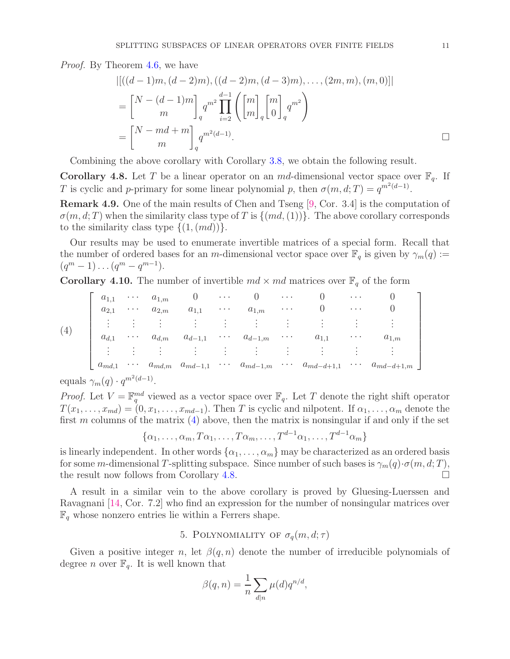Proof. By Theorem [4.6,](#page-8-2) we have

$$
\begin{aligned}\n&\left|\left[\left((d-1)m,(d-2)m),((d-2)m,(d-3)m),\ldots,(2m,m),(m,0)\right]\right|\right. \\
&=\binom{N-(d-1)m}{m}_q q^{m^2} \prod_{i=2}^{d-1} \left(\binom{m}{m}_q \binom{m}{0}_q q^{m^2}\right) \\
&=\binom{N-md+m}{m}_q q^{m^2(d-1)}.\n\end{aligned}
$$

Combining the above corollary with Corollary [3.8,](#page-7-4) we obtain the following result.

<span id="page-10-2"></span>**Corollary 4.8.** Let T be a linear operator on an md-dimensional vector space over  $\mathbb{F}_q$ . If T is cyclic and p-primary for some linear polynomial p, then  $\sigma(m, d; T) = q^{m^2(d-1)}$ .

Remark 4.9. One of the main results of Chen and Tseng [\[9,](#page-13-3) Cor. 3.4] is the computation of  $\sigma(m, d; T)$  when the similarity class type of T is  $\{(md,(1))\}$ . The above corollary corresponds to the similarity class type  $\{(1,(md))\}.$ 

Our results may be used to enumerate invertible matrices of a special form. Recall that the number of ordered bases for an m-dimensional vector space over  $\mathbb{F}_q$  is given by  $\gamma_m(q) :=$  $(q^m - 1) \dots (q^m - q^{m-1}).$ 

**Corollary 4.10.** The number of invertible  $md \times md$  matrices over  $\mathbb{F}_q$  of the form

<span id="page-10-1"></span>

| $a_{1,1}$                         | $\cdots$           | $a_{1,m}$ |                         | $\cdots$ |             | $\cdots$ |                                               | $\cdots$ |                |
|-----------------------------------|--------------------|-----------|-------------------------|----------|-------------|----------|-----------------------------------------------|----------|----------------|
| $a_{2,1}$                         | $\cdots$           | $a_{2,m}$ | $a_{1,1}$               | $\cdots$ | $a_{1,m}$   | $\cdots$ |                                               | $\cdots$ |                |
| ٠<br>$\cdot$                      | $\cdot$            |           |                         |          |             |          |                                               |          |                |
| $a_{d,1}$                         | $\cdots$           | $a_{d,m}$ | $a_{d-1,1}$             | $\cdots$ | $a_{d-1,m}$ | $\cdots$ | $a_{1,1}$                                     | $\cdots$ | $a_{1,m}$      |
| $\bullet$<br>$\bullet$<br>$\cdot$ | $\cdot$<br>$\cdot$ |           |                         |          | ٠           | $\cdot$  |                                               |          |                |
| $a_{md,1}$                        | $\cdots$           |           | $a_{md,m}$ $a_{md-1,1}$ |          |             |          | $\cdots$ $a_{md-1,m}$ $\cdots$ $a_{md-d+1,1}$ | $\cdots$ | $a_{md-d+1,m}$ |
|                                   | $0 \leq x \leq 0$  |           |                         |          |             |          |                                               |          |                |

equals  $\gamma_m(q) \cdot q^{m^2(d-1)}$ .

*Proof.* Let  $V = \mathbb{F}_q^{md}$  viewed as a vector space over  $\mathbb{F}_q$ . Let T denote the right shift operator  $T(x_1, \ldots, x_{md}) = (0, x_1, \ldots, x_{md-1})$ . Then T is cyclic and nilpotent. If  $\alpha_1, \ldots, \alpha_m$  denote the first m columns of the matrix  $(4)$  above, then the matrix is nonsingular if and only if the set

$$
\{\alpha_1, \ldots, \alpha_m, T\alpha_1, \ldots, T\alpha_m, \ldots, T^{d-1}\alpha_1, \ldots, T^{d-1}\alpha_m\}
$$

is linearly independent. In other words  $\{\alpha_1, \ldots, \alpha_m\}$  may be characterized as an ordered basis for some m-dimensional T-splitting subspace. Since number of such bases is  $\gamma_m(q) \cdot \sigma(m, d; T)$ , the result now follows from Corollary [4.8.](#page-10-2)

A result in a similar vein to the above corollary is proved by Gluesing-Luerssen and Ravagnani [\[14,](#page-13-15) Cor. 7.2] who find an expression for the number of nonsingular matrices over  $\mathbb{F}_q$  whose nonzero entries lie within a Ferrers shape.

# 5. POLYNOMIALITY OF  $\sigma_q(m, d; \tau)$

<span id="page-10-0"></span>Given a positive integer n, let  $\beta(q, n)$  denote the number of irreducible polynomials of degree *n* over  $\mathbb{F}_q$ . It is well known that

$$
\beta(q, n) = \frac{1}{n} \sum_{d|n} \mu(d) q^{n/d},
$$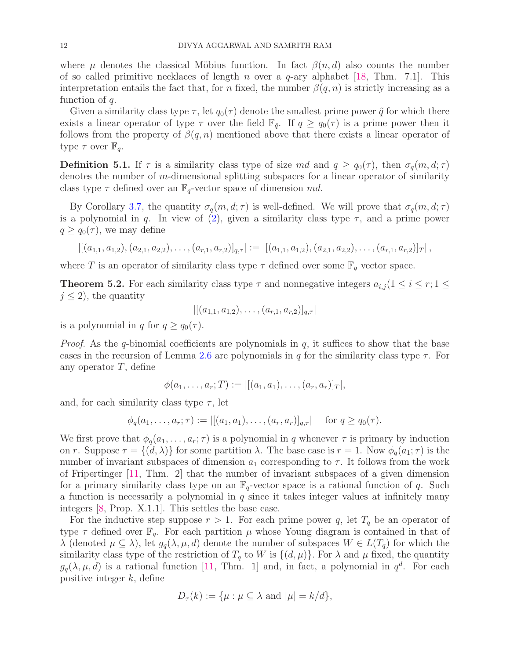where  $\mu$  denotes the classical Möbius function. In fact  $\beta(n, d)$  also counts the number of so called primitive necklaces of length n over a  $q$ -ary alphabet [\[18,](#page-13-16) Thm. 7.1]. This interpretation entails the fact that, for n fixed, the number  $\beta(q, n)$  is strictly increasing as a function of q.

Given a similarity class type  $\tau$ , let  $q_0(\tau)$  denote the smallest prime power  $\tilde{q}$  for which there exists a linear operator of type  $\tau$  over the field  $\mathbb{F}_{q}$ . If  $q \geq q_0(\tau)$  is a prime power then it follows from the property of  $\beta(q, n)$  mentioned above that there exists a linear operator of type  $\tau$  over  $\mathbb{F}_q$ .

**Definition 5.1.** If  $\tau$  is a similarity class type of size md and  $q \geq q_0(\tau)$ , then  $\sigma_q(m, d; \tau)$ denotes the number of m-dimensional splitting subspaces for a linear operator of similarity class type  $\tau$  defined over an  $\mathbb{F}_q$ -vector space of dimension md.

By Corollary [3.7,](#page-6-0) the quantity  $\sigma_q(m, d; \tau)$  is well-defined. We will prove that  $\sigma_q(m, d; \tau)$ is a polynomial in q. In view of  $(2)$ , given a similarity class type  $\tau$ , and a prime power  $q \geq q_0(\tau)$ , we may define

$$
\left\|\left[(a_{1,1},a_{1,2}), (a_{2,1},a_{2,2}), \ldots, (a_{r,1},a_{r,2})\right]_{q,\tau}\right\| := \left\|\left[(a_{1,1},a_{1,2}), (a_{2,1},a_{2,2}), \ldots, (a_{r,1},a_{r,2})\right]_{T}\right\|,
$$

where T is an operator of similarity class type  $\tau$  defined over some  $\mathbb{F}_q$  vector space.

<span id="page-11-0"></span>**Theorem 5.2.** For each similarity class type  $\tau$  and nonnegative integers  $a_{i,j}$  ( $1 \leq i \leq r; 1 \leq j$ )  $j \leq 2$ , the quantity

$$
|[(a_{1,1},a_{1,2}),\ldots,(a_{r,1},a_{r,2})]_{q,\tau}|
$$

is a polynomial in q for  $q \geq q_0(\tau)$ .

*Proof.* As the q-binomial coefficients are polynomials in q, it suffices to show that the base cases in the recursion of Lemma [2.6](#page-3-2) are polynomials in q for the similarity class type  $\tau$ . For any operator  $T$ , define

$$
\phi(a_1,\ldots,a_r;T):=|[(a_1,a_1),\ldots,(a_r,a_r)]_T|,
$$

and, for each similarity class type  $\tau$ , let

$$
\phi_q(a_1, \ldots, a_r; \tau) := |[(a_1, a_1), \ldots, (a_r, a_r)]_{q, \tau}| \text{ for } q \ge q_0(\tau).
$$

We first prove that  $\phi_q(a_1, \ldots, a_r; \tau)$  is a polynomial in q whenever  $\tau$  is primary by induction on r. Suppose  $\tau = \{(d, \lambda)\}\$ for some partition  $\lambda$ . The base case is  $r = 1$ . Now  $\phi_q(a_1; \tau)$  is the number of invariant subspaces of dimension  $a_1$  corresponding to  $\tau$ . It follows from the work of Fripertinger [\[11,](#page-13-17) Thm. 2] that the number of invariant subspaces of a given dimension for a primary similarity class type on an  $\mathbb{F}_q$ -vector space is a rational function of q. Such a function is necessarily a polynomial in  $q$  since it takes integer values at infinitely many integers [\[8,](#page-13-18) Prop. X.1.1]. This settles the base case.

For the inductive step suppose  $r > 1$ . For each prime power q, let  $T<sub>q</sub>$  be an operator of type  $\tau$  defined over  $\mathbb{F}_q$ . For each partition  $\mu$  whose Young diagram is contained in that of  $\lambda$  (denoted  $\mu \subseteq \lambda$ ), let  $g_q(\lambda, \mu, d)$  denote the number of subspaces  $W \in L(T_q)$  for which the similarity class type of the restriction of  $T_q$  to W is  $\{(d,\mu)\}\)$ . For  $\lambda$  and  $\mu$  fixed, the quantity  $g_q(\lambda, \mu, d)$  is a rational function [\[11,](#page-13-17) Thm. 1] and, in fact, a polynomial in  $q^d$ . For each positive integer  $k$ , define

$$
D_{\tau}(k) := \{\mu : \mu \subseteq \lambda \text{ and } |\mu| = k/d\},\
$$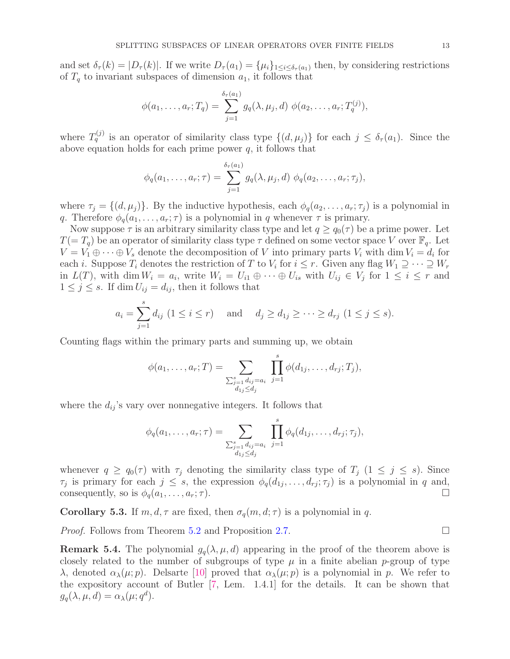and set  $\delta_{\tau}(k) = |D_{\tau}(k)|$ . If we write  $D_{\tau}(a_1) = {\mu_i}_{1 \leq i \leq \delta_{\tau}(a_1)}$  then, by considering restrictions of  $T_q$  to invariant subspaces of dimension  $a_1$ , it follows that

$$
\phi(a_1, ..., a_r; T_q) = \sum_{j=1}^{\delta_{\tau}(a_1)} g_q(\lambda, \mu_j, d) \phi(a_2, ..., a_r; T_q^{(j)}),
$$

where  $T_q^{(j)}$  is an operator of similarity class type  $\{(d,\mu_j)\}\)$  for each  $j \leq \delta_\tau(a_1)$ . Since the above equation holds for each prime power  $q$ , it follows that

$$
\phi_q(a_1,\ldots,a_r;\tau)=\sum_{j=1}^{\delta_\tau(a_1)}g_q(\lambda,\mu_j,d)\ \phi_q(a_2,\ldots,a_r;\tau_j),
$$

where  $\tau_j = \{(d, \mu_j)\}\.$  By the inductive hypothesis, each  $\phi_q(a_2, \ldots, a_r; \tau_j)$  is a polynomial in q. Therefore  $\phi_q(a_1, \ldots, a_r; \tau)$  is a polynomial in q whenever  $\tau$  is primary.

Now suppose  $\tau$  is an arbitrary similarity class type and let  $q \geq q_0(\tau)$  be a prime power. Let  $T(= T_q)$  be an operator of similarity class type  $\tau$  defined on some vector space V over  $\mathbb{F}_q$ . Let  $V = V_1 \oplus \cdots \oplus V_s$  denote the decomposition of V into primary parts  $V_i$  with dim  $V_i = d_i$  for each *i*. Suppose  $T_i$  denotes the restriction of T to  $V_i$  for  $i \leq r$ . Given any flag  $W_1 \supseteq \cdots \supseteq W_r$ in  $L(T)$ , with dim  $W_i = a_i$ , write  $W_i = U_{i1} \oplus \cdots \oplus U_{is}$  with  $U_{ij} \in V_j$  for  $1 \leq i \leq r$  and  $1 \leq j \leq s$ . If dim  $U_{ij} = d_{ij}$ , then it follows that

$$
a_i = \sum_{j=1}^s d_{ij} \ (1 \le i \le r)
$$
 and  $d_j \ge d_{1j} \ge \cdots \ge d_{rj} \ (1 \le j \le s).$ 

Counting flags within the primary parts and summing up, we obtain

$$
\phi(a_1, \ldots, a_r; T) = \sum_{\substack{\sum_{j=1}^s d_{ij} = a_i \\ d_{1j} \leq d_j}} \prod_{j=1}^s \phi(d_{1j}, \ldots, d_{rj}; T_j),
$$

where the  $d_{ij}$ 's vary over nonnegative integers. It follows that

$$
\phi_q(a_1, ..., a_r; \tau) = \sum_{\substack{\sum_{j=1}^s d_{ij} = a_i \\ d_{1j} \le d_j}} \prod_{j=1}^s \phi_q(d_{1j}, ..., d_{rj}; \tau_j),
$$

whenever  $q \ge q_0(\tau)$  with  $\tau_j$  denoting the similarity class type of  $T_j$   $(1 \le j \le s)$ . Since  $\tau_j$  is primary for each  $j \leq s$ , the expression  $\phi_q(d_{1j}, \ldots, d_{rj}; \tau_j)$  is a polynomial in q and, consequently, so is  $\phi_q(a_1, \ldots, a_r; \tau)$ .

**Corollary 5.3.** If  $m, d, \tau$  are fixed, then  $\sigma_q(m, d; \tau)$  is a polynomial in q.

*Proof.* Follows from Theorem [5.2](#page-11-0) and Proposition [2.7.](#page-4-0) □

**Remark 5.4.** The polynomial  $g_q(\lambda, \mu, d)$  appearing in the proof of the theorem above is closely related to the number of subgroups of type  $\mu$  in a finite abelian p-group of type λ, denoted  $\alpha_{\lambda}(\mu;p)$ . Delsarte [\[10\]](#page-13-19) proved that  $\alpha_{\lambda}(\mu;p)$  is a polynomial in p. We refer to the expository account of Butler [\[7,](#page-13-20) Lem. 1.4.1] for the details. It can be shown that  $g_q(\lambda, \mu, d) = \alpha_\lambda(\mu; q^d).$